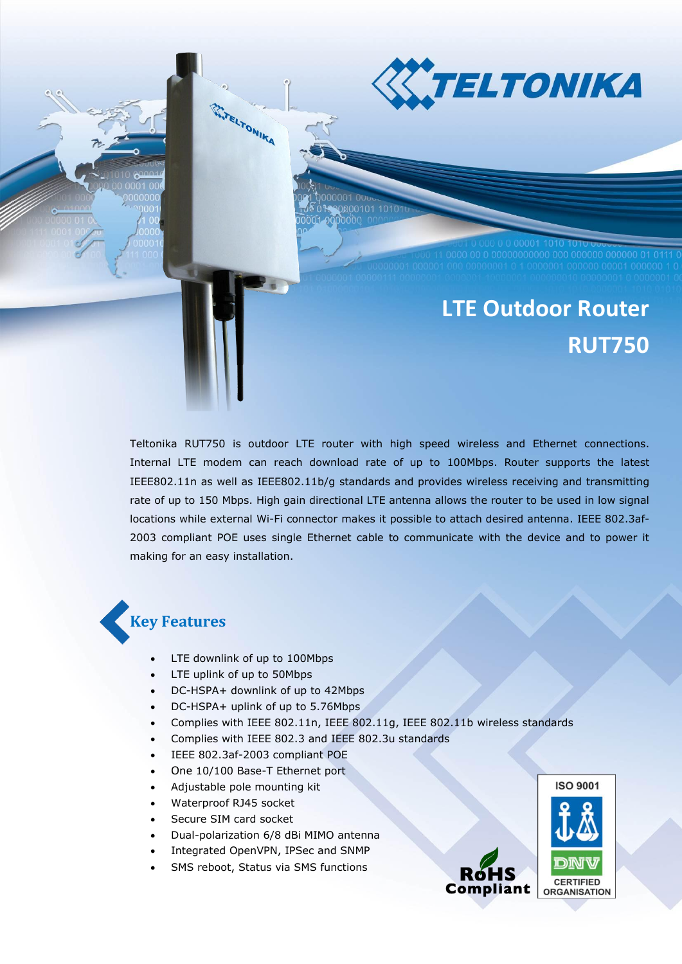

# **LTE Outdoor Router RUT750**

Teltonika RUT750 is outdoor LTE router with high speed wireless and Ethernet connections. Internal LTE modem can reach download rate of up to 100Mbps. Router supports the latest IEEE802.11n as well as IEEE802.11b/g standards and provides wireless receiving and transmitting rate of up to 150 Mbps. High gain directional LTE antenna allows the router to be used in low signal locations while external Wi-Fi connector makes it possible to attach desired antenna. IEEE 802.3af-2003 compliant POE uses single Ethernet cable to communicate with the device and to power it making for an easy installation.

## **Key Features**

LTE downlink of up to 100Mbps

**WITELTONIKA** 

- LTE uplink of up to 50Mbps
- DC-HSPA+ downlink of up to 42Mbps
- DC-HSPA+ uplink of up to 5.76Mbps
- Complies with IEEE 802.11n, IEEE 802.11g, IEEE 802.11b wireless standards
- Complies with IEEE 802.3 and IEEE 802.3u standards
- IEEE 802.3af-2003 compliant POE
- One 10/100 Base-T Ethernet port
- Adjustable pole mounting kit
- Waterproof RJ45 socket
- Secure SIM card socket
- Dual-polarization 6/8 dBi MIMO antenna
- Integrated OpenVPN, IPSec and SNMP
- SMS reboot, Status via SMS functions

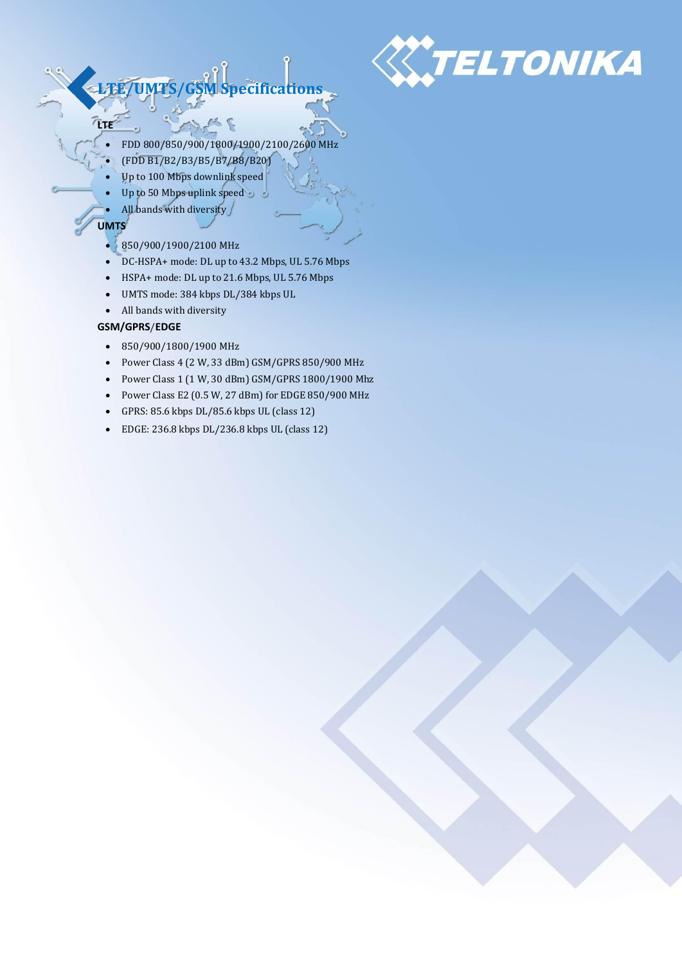

## **LTE/UMTS/GSM Specifications**

- $\sim$   $\epsilon$ FDD 800/850/900/1800/1900/2100/2600 MHz
- (FDD B1/B2/B3/B5/B7/B8/B20)
- Up to 100 Mbps downlink speed
- Up to 50 Mbps uplink speed
- All bands with diversity

#### **UMTS**

**LTE**

- 850/900/1900/2100 MHz
- DC-HSPA+ mode: DL up to 43.2 Mbps, UL 5.76 Mbps
- HSPA+ mode: DL up to 21.6 Mbps, UL 5.76 Mbps
- UMTS mode: 384 kbps DL/384 kbps UL
- All bands with diversity

#### **GSM/GPRS**/**EDGE**

- 850/900/1800/1900 MHz
- Power Class 4 (2 W, 33 dBm) GSM/GPRS 850/900 MHz
- Power Class 1 (1 W, 30 dBm) GSM/GPRS 1800/1900 Mhz
- Power Class E2 (0.5 W, 27 dBm) for EDGE 850/900 MHz
- GPRS: 85.6 kbps DL/85.6 kbps UL (class 12)
- EDGE: 236.8 kbps DL/236.8 kbps UL (class 12)